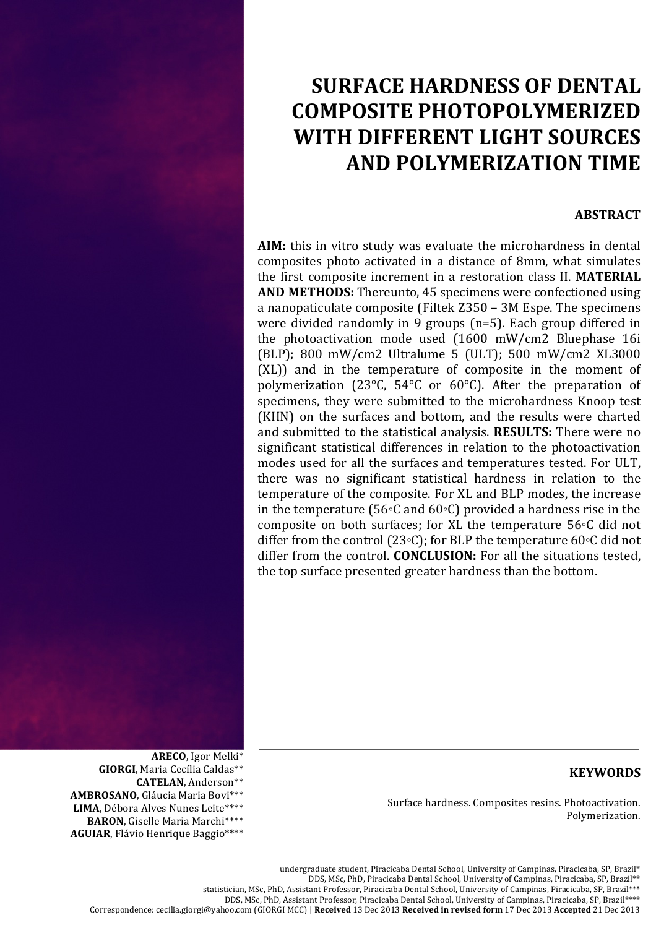# **SURFACE'HARDNESS'OF'DENTAL' COMPOSITE'PHOTOPOLYMERIZED' WITH DIFFERENT LIGHT SOURCES AND'POLYMERIZATION'TIME**

### **ABSTRACT**

**AIM:** this in vitro study was evaluate the microhardness in dental composites photo activated in a distance of 8mm, what simulates the first composite increment in a restoration class II. **MATERIAL AND METHODS:** Thereunto, 45 specimens were confectioned using a nanopaticulate composite (Filtek Z350 – 3M Espe. The specimens) were divided randomly in 9 groups (n=5). Each group differed in the photoactivation mode used (1600 mW/cm2 Bluephase 16i (BLP); 800 mW/cm2 Ultralume 5 (ULT); 500 mW/cm2 XL3000  $(XL)$ ) and in the temperature of composite in the moment of polymerization (23 $^{\circ}$ C, 54 $^{\circ}$ C or 60 $^{\circ}$ C). After the preparation of specimens, they were submitted to the microhardness Knoop test (KHN) on the surfaces and bottom, and the results were charted and submitted to the statistical analysis. **RESULTS:** There were no significant statistical differences in relation to the photoactivation modes used for all the surfaces and temperatures tested. For ULT, there was no significant statistical hardness in relation to the temperature of the composite. For XL and BLP modes, the increase in the temperature (56◦C and 60◦C) provided a hardness rise in the composite on both surfaces; for XL the temperature  $56 $\degree$ C did not$ differ from the control (23◦C); for BLP the temperature 60◦C did not differ from the control. **CONCLUSION:** For all the situations tested, the top surface presented greater hardness than the bottom.

## **KEYWORDS**

Surface hardness. Composites resins. Photoactivation. Polymerization.

**AMBROSANO**, Gláucia Maria Bovi\*\*\*

**GIORGI**, Maria Cecília Caldas\*\*

ARECO, Igor Melki<sup>\*</sup>

CATELAN, Anderson\*\*

undergraduate student, Piracicaba Dental School, University of Campinas, Piracicaba, SP, Brazil\* DDS, MSc, PhD, Piracicaba Dental School, University of Campinas, Piracicaba, SP, Brazil\*\* statistician, MSc, PhD, Assistant Professor, Piracicaba Dental School, University of Campinas, Piracicaba, SP, Brazil\*\*\* DDS, MSc, PhD, Assistant Professor, Piracicaba Dental School, University of Campinas, Piracicaba, SP, Brazil\*\*\*\* Correspondence:)cecilia.giorgi@yahoo.com (GIORGI)MCC))|)**Received** 13 Dec 2013 **Received'in'revised'form** 17 Dec 2013 **Accepted** 21 Dec 2013

LIMA, Débora Alves Nunes Leite\*\*\*\* BARON, Giselle Maria Marchi\*\*\*\* AGUIAR, Flávio Henrique Baggio\*\*\*\*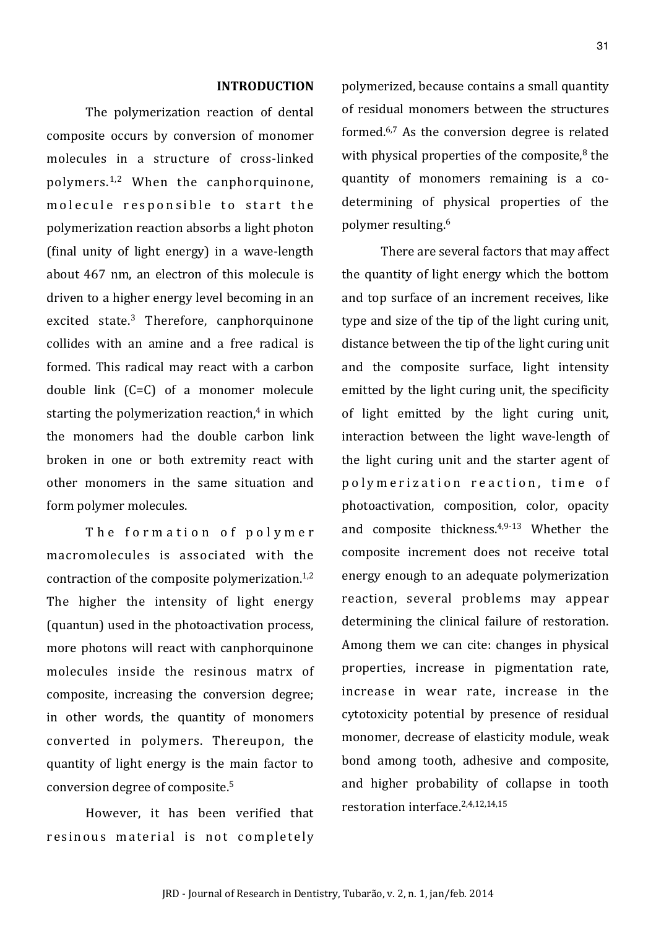#### **INTRODUCTION**

The polymerization reaction of dental composite occurs by conversion of monomer molecules in a structure of cross-linked polymers. $1,2$  When the canphorquinone, molecule responsible to start the polymerization reaction absorbs a light photon  $(\text{final}$  unity of light energy) in a wave-length about 467 nm, an electron of this molecule is driven to a higher energy level becoming in an excited state.<sup>3</sup> Therefore, canphorquinone collides with an amine and a free radical is formed. This radical may react with a carbon double link  $(C=C)$  of a monomer molecule starting the polymerization reaction, $4$  in which the monomers had the double carbon link broken in one or both extremity react with other monomers in the same situation and form polymer molecules.

The formation of polymer macromolecules is associated with the contraction of the composite polymerization. $1,2$ The higher the intensity of light energy (quantun) used in the photoactivation process, more photons will react with canphorquinone molecules inside the resinous matry of composite, increasing the conversion degree; in other words, the quantity of monomers converted in polymers. Thereupon, the quantity of light energy is the main factor to conversion degree of composite.<sup>5</sup>

However, it has been verified that resinous material is not completely polymerized, because contains a small quantity of residual monomers between the structures formed. $6,7$  As the conversion degree is related with physical properties of the composite, $8$  the quantity of monomers remaining is a codetermining of physical properties of the polymer resulting.<sup>6</sup>

There are several factors that may affect the quantity of light energy which the bottom and top surface of an increment receives, like type and size of the tip of the light curing unit, distance between the tip of the light curing unit and the composite surface, light intensity emitted by the light curing unit, the specificity of light emitted by the light curing unit, interaction between the light wave-length of the light curing unit and the starter agent of polymerization reaction, time of photoactivation, composition, color, opacity and composite thickness. $4,9-13$  Whether the composite increment does not receive total energy enough to an adequate polymerization reaction, several problems may appear determining the clinical failure of restoration. Among them we can cite: changes in physical properties, increase in pigmentation rate, increase in wear rate, increase in the cytotoxicity potential by presence of residual monomer, decrease of elasticity module, weak bond among tooth, adhesive and composite, and higher probability of collapse in tooth restoration interface.<sup>2,4,12,14,15</sup>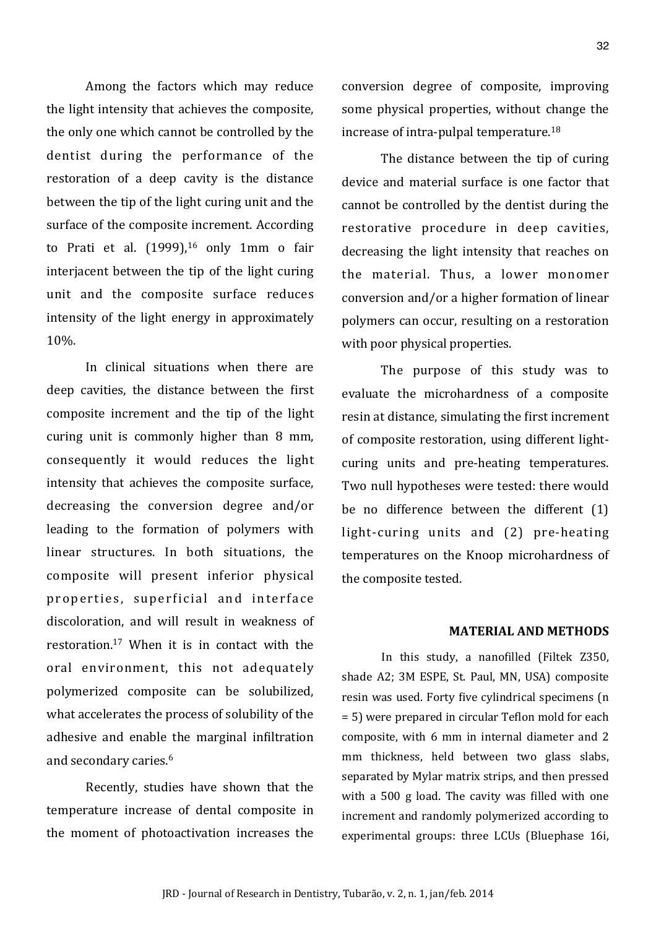Among the factors which may reduce the light intensity that achieves the composite, the only one which cannot be controlled by the dentist during the performance of the restoration of a deep cavity is the distance between the tip of the light curing unit and the surface of the composite increment. According to Prati et al.  $(1999)$ ,<sup>16</sup> only 1mm o fair interjacent between the tip of the light curing unit and the composite surface reduces intensity of the light energy in approximately 10%.!

In clinical situations when there are deep cavities, the distance between the first composite increment and the tip of the light curing unit is commonly higher than  $8 \text{ mm}$ , consequently it would reduces the light intensity that achieves the composite surface, decreasing the conversion degree and/or leading to the formation of polymers with linear structures. In both situations, the composite will present inferior physical properties, superficial and interface discoloration, and will result in weakness of restoration. $17$  When it is in contact with the oral environment, this not adequately polymerized composite can be solubilized, what accelerates the process of solubility of the adhesive and enable the marginal infiltration and secondary caries.<sup>6</sup>

Recently, studies have shown that the temperature increase of dental composite in the moment of photoactivation increases the

conversion degree of composite, improving some physical properties, without change the increase of intra-pulpal temperature. $^{18}$ 

The distance between the tip of curing device and material surface is one factor that cannot be controlled by the dentist during the restorative procedure in deep cavities, decreasing the light intensity that reaches on the material. Thus, a lower monomer conversion and/or a higher formation of linear polymers can occur, resulting on a restoration with poor physical properties.

The purpose of this study was to evaluate the microhardness of a composite resin at distance, simulating the first increment of composite restoration, using different lightcuring units and pre-heating temperatures. Two null hypotheses were tested: there would be no difference between the different (1) light-curing units and (2) pre-heating temperatures on the Knoop microhardness of the composite tested.

#### **MATERIAL-AND-METHODS**

In this study, a nanofilled (Filtek Z350, shade A2; 3M ESPE, St. Paul, MN, USA) composite resin was used. Forty five cylindrical specimens (n = 5) were prepared in circular Teflon mold for each composite, with 6 mm in internal diameter and 2 mm thickness, held between two glass slabs, separated by Mylar matrix strips, and then pressed with a 500 g load. The cavity was filled with one increment and randomly polymerized according to experimental groups: three LCUs (Bluephase 16i,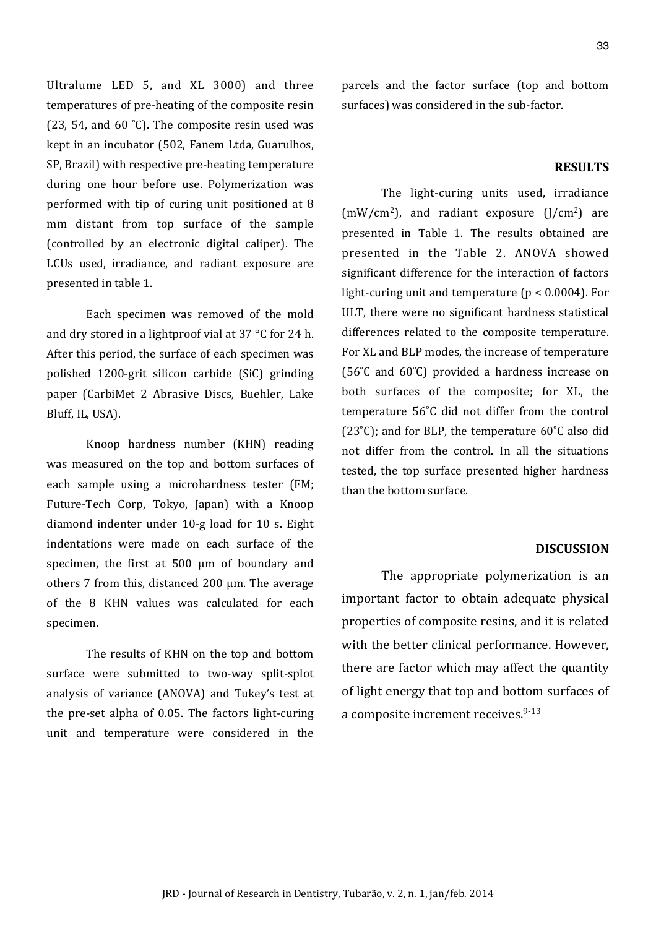Ultralume LED 5, and XL 3000) and three temperatures of pre-heating of the composite resin (23, 54, and 60 °C). The composite resin used was kept in an incubator (502, Fanem Ltda, Guarulhos, SP, Brazil) with respective pre-heating temperature during one hour before use. Polymerization was performed with tip of curing unit positioned at 8 mm distant from top surface of the sample (controlled by an electronic digital caliper). The LCUs used, irradiance, and radiant exposure are presented in table 1.

Each specimen was removed of the mold and dry stored in a lightproof vial at  $37$  °C for 24 h. After this period, the surface of each specimen was polished 1200-grit silicon carbide (SiC) grinding paper (CarbiMet 2 Abrasive Discs, Buehler, Lake Bluff, IL, USA).

Knoop hardness number (KHN) reading was measured on the top and bottom surfaces of each sample using a microhardness tester (FM; Future-Tech Corp, Tokyo, Japan) with a Knoop diamond indenter under 10-g load for 10 s. Eight indentations were made on each surface of the specimen, the first at  $500 \mu m$  of boundary and others 7 from this, distanced 200  $\mu$ m. The average of the 8 KHN values was calculated for each specimen.

The results of KHN on the top and bottom surface were submitted to two-way split-splot analysis of variance (ANOVA) and Tukey's test at the pre-set alpha of 0.05. The factors light-curing unit and temperature were considered in the

parcels and the factor surface (top and bottom surfaces) was considered in the sub-factor.

#### **RESULTS**

The light-curing units used, irradiance  $(mW/cm<sup>2</sup>)$ , and radiant exposure  $(J/cm<sup>2</sup>)$  are presented in Table 1. The results obtained are presented in the Table 2. ANOVA showed significant difference for the interaction of factors light-curing unit and temperature ( $p < 0.0004$ ). For ULT, there were no significant hardness statistical differences related to the composite temperature. For XL and BLP modes, the increase of temperature ( $56^{\circ}$ C and  $60^{\circ}$ C) provided a hardness increase on both surfaces of the composite; for XL, the temperature 56°C did not differ from the control (23 $°C$ ); and for BLP, the temperature 60 $°C$  also did not differ from the control. In all the situations tested, the top surface presented higher hardness than the bottom surface.

#### **DISCUSSION**

The appropriate polymerization is an important factor to obtain adequate physical properties of composite resins, and it is related with the better clinical performance. However, there are factor which may affect the quantity of light energy that top and bottom surfaces of a composite increment receives. $9-13$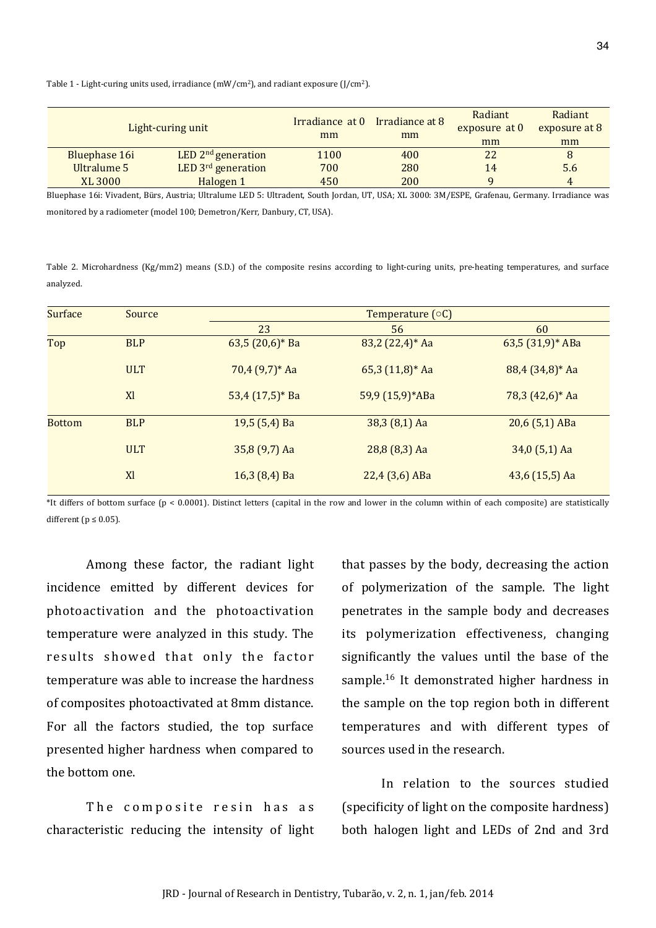Table 1 - Light-curing units used, irradiance  $(mW/cm<sup>2</sup>)$ , and radiant exposure  $(1/cm<sup>2</sup>)$ .

| Light-curing unit |               |                      | Irradiance at 0 Irradiance at 8<br>mm | mm  | Radiant<br>exposure at 0 | Radiant<br>exposure at 8 |
|-------------------|---------------|----------------------|---------------------------------------|-----|--------------------------|--------------------------|
|                   |               |                      |                                       |     | mm                       | mm                       |
|                   | Bluephase 16i | LED $2nd$ generation | 1100                                  | 400 | 22                       | 8                        |
|                   | Ultralume 5   | LED 3rd generation   | 700                                   | 280 | 14                       | 5.6                      |
|                   | XL 3000       | Halogen 1            | 450                                   | 200 |                          |                          |

Bluephase 16i: Vivadent, Bürs, Austria; Ultralume LED 5: Ultradent, South Jordan, UT, USA; XL 3000: 3M/ESPE, Grafenau, Germany. Irradiance was monitored by a radiometer (model 100; Demetron/Kerr, Danbury, CT, USA).

Table 2. Microhardness (Kg/mm2) means (S.D.) of the composite resins according to light-curing units, pre-heating temperatures, and surface analyzed.

| <b>Surface</b> | Source     | Temperature $(\circ C)$ |                  |                    |  |  |
|----------------|------------|-------------------------|------------------|--------------------|--|--|
|                |            | 23                      | 56               | 60                 |  |  |
| Top            | <b>BLP</b> | 63,5 $(20,6)*$ Ba       | 83,2 (22,4)* Aa  | 63,5 $(31,9)*$ ABa |  |  |
|                | <b>ULT</b> | $70,4(9,7)*$ Aa         | $65,3(11,8)*$ Aa | $88,4(34,8)*$ Aa   |  |  |
|                | X          | $53,4(17,5)*$ Ba        | 59,9 (15,9)*ABa  | $78,3(42,6)*$ Aa   |  |  |
| <b>Bottom</b>  | <b>BLP</b> | 19,5 (5,4) Ba           | $38,3(8,1)$ Aa   | $20,6(5,1)$ ABa    |  |  |
|                | <b>ULT</b> | 35,8 (9,7) Aa           | $28,8(8,3)$ Aa   | $34,0(5,1)$ Aa     |  |  |
|                | Xl         | $16,3(8,4)$ Ba          | 22,4 (3,6) ABa   | $43,6(15,5)$ Aa    |  |  |

\*It differs of bottom surface (p < 0.0001). Distinct letters (capital in the row and lower in the column within of each composite) are statistically different ( $p \le 0.05$ ).

Among these factor, the radiant light incidence emitted by different devices for photoactivation and the photoactivation temperature were analyzed in this study. The results showed that only the factor temperature was able to increase the hardness of composites photoactivated at 8mm distance. For all the factors studied, the top surface presented higher hardness when compared to the bottom one.

The composite resin has as characteristic reducing the intensity of light that passes by the body, decreasing the action of polymerization of the sample. The light penetrates in the sample body and decreases its polymerization effectiveness, changing significantly the values until the base of the sample.<sup>16</sup> It demonstrated higher hardness in the sample on the top region both in different temperatures and with different types of sources used in the research.

In relation to the sources studied (specificity of light on the composite hardness) both halogen light and LEDs of 2nd and 3rd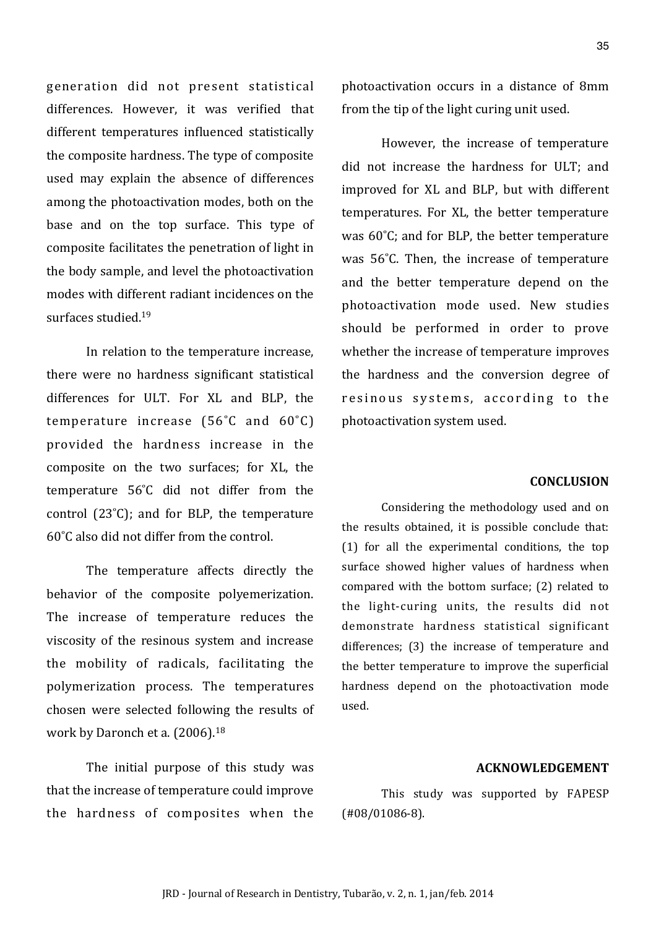generation did not present statistical differences. However, it was verified that different temperatures influenced statistically the composite hardness. The type of composite used may explain the absence of differences among the photoactivation modes, both on the base and on the top surface. This type of composite facilitates the penetration of light in the body sample, and level the photoactivation modes with different radiant incidences on the surfaces studied. $19$ 

In relation to the temperature increase, there were no hardness significant statistical differences for ULT. For XL and BLP, the temperature increase  $(56^{\circ}C \text{ and } 60^{\circ}C)$ provided the hardness increase in the composite on the two surfaces; for XL, the temperature 56°C did not differ from the control  $(23^{\circ}C)$ ; and for BLP, the temperature  $60^{\circ}$ C also did not differ from the control.

The temperature affects directly the behavior of the composite polyemerization. The increase of temperature reduces the viscosity of the resinous system and increase the mobility of radicals, facilitating the polymerization process. The temperatures chosen were selected following the results of work by Daronch et a. (2006).<sup>18</sup>

The initial purpose of this study was that the increase of temperature could improve the hardness of composites when the photoactivation occurs in a distance of 8mm from the tip of the light curing unit used.

However, the increase of temperature did not increase the hardness for ULT; and improved for XL and BLP, but with different temperatures. For XL, the better temperature was 60°C; and for BLP, the better temperature was 56°C. Then, the increase of temperature and the better temperature depend on the photoactivation mode used. New studies should be performed in order to prove whether the increase of temperature improves the hardness and the conversion degree of resinous systems, according to the photoactivation system used.

#### **CONCLUSION**

Considering the methodology used and on the results obtained, it is possible conclude that:  $(1)$  for all the experimental conditions, the top surface showed higher values of hardness when compared with the bottom surface; (2) related to the light-curing units, the results did not demonstrate hardness statistical significant differences; (3) the increase of temperature and the better temperature to improve the superficial hardness depend on the photoactivation mode used.

#### **ACKNOWLEDGEMENT**

This study was supported by FAPESP  $(H08/01086-8).$